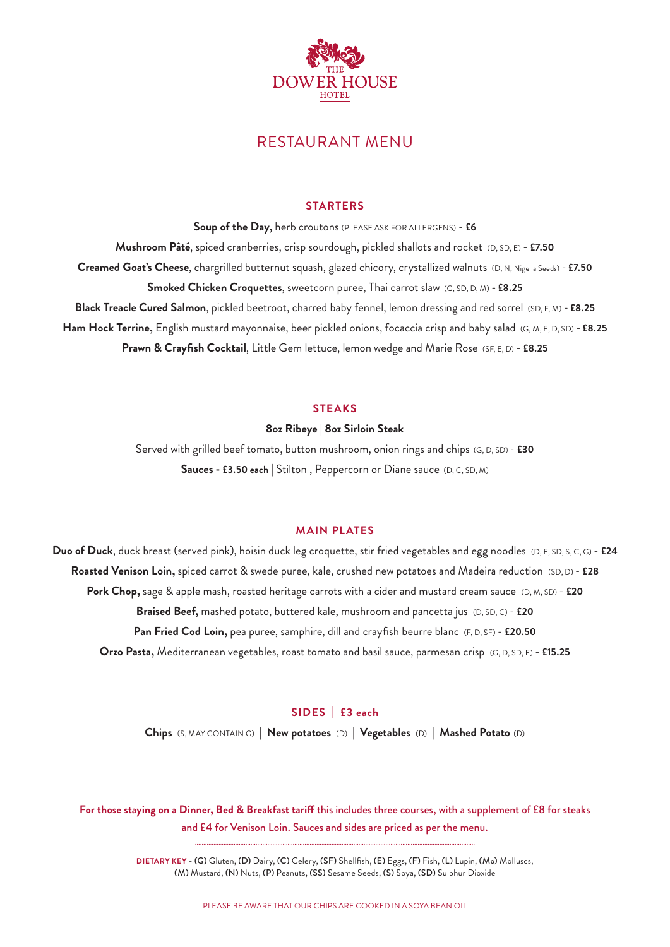

## RESTAURANT MENU

#### **STARTERS**

**Soup of the Day,** herb croutons (PLEASE ASK FOR ALLERGENS) - **£6 Mushroom Pâté**, spiced cranberries, crisp sourdough, pickled shallots and rocket (D, SD, E) - **£7.50 Creamed Goat's Cheese**, chargrilled butternut squash, glazed chicory, crystallized walnuts (D, N, Nigella Seeds) - **£7.50 Smoked Chicken Croquettes**, sweetcorn puree, Thai carrot slaw (G, SD, D, M) - **£8.25 Black Treacle Cured Salmon**, pickled beetroot, charred baby fennel, lemon dressing and red sorrel (SD, F, M) - **£8.25 Ham Hock Terrine,** English mustard mayonnaise, beer pickled onions, focaccia crisp and baby salad (G, M, E, D, SD) - **£8.25 Prawn & Crayfish Cocktail**, Little Gem lettuce, lemon wedge and Marie Rose (SF, E, D) - **£8.25**

#### **STEAKS**

#### **8oz Ribeye | 8oz Sirloin Steak**

Served with grilled beef tomato, button mushroom, onion rings and chips (G, D, SD) - **£30 Sauces - £3.50 each |** Stilton , Peppercorn or Diane sauce (D, C, SD, M)

#### **MAIN PLATES**

**Duo of Duck**, duck breast (served pink), hoisin duck leg croquette, stir fried vegetables and egg noodles (D, E, SD, S, C, G) - **£24 Roasted Venison Loin,** spiced carrot & swede puree, kale, crushed new potatoes and Madeira reduction (SD, D) - **£28 Pork Chop,** sage & apple mash, roasted heritage carrots with a cider and mustard cream sauce (D, M, SD) - **£20 Braised Beef,** mashed potato, buttered kale, mushroom and pancetta jus (D, SD, C) - **£20 Pan Fried Cod Loin,** pea puree, samphire, dill and crayfish beurre blanc (F, D, SF) - **£20.50 Orzo Pasta,** Mediterranean vegetables, roast tomato and basil sauce, parmesan crisp (G, D, SD, E) - **£15.25**

#### **SIDES | £3 each**

**Chips** (S, MAY CONTAIN G) **| New potatoes** (D) **| Vegetables** (D) **| Mashed Potato** (D)

**For those staying on a Dinner, Bed & Breakfast tariff** this includes three courses, with a supplement of £8 for steaks and £4 for Venison Loin. Sauces and sides are priced as per the menu.

> **DIETARY KEY** - (G) Gluten, (D) Dairy, (C) Celery, (SF) Shellfish, (E) Eggs, (F) Fish, (L) Lupin, (Mo) Molluscs, (M) Mustard, (N) Nuts, (P) Peanuts, (SS) Sesame Seeds, (S) Soya, (SD) Sulphur Dioxide

> > PLEASE BE AWARE THAT OUR CHIPS ARE COOKED IN A SOYA BEAN OIL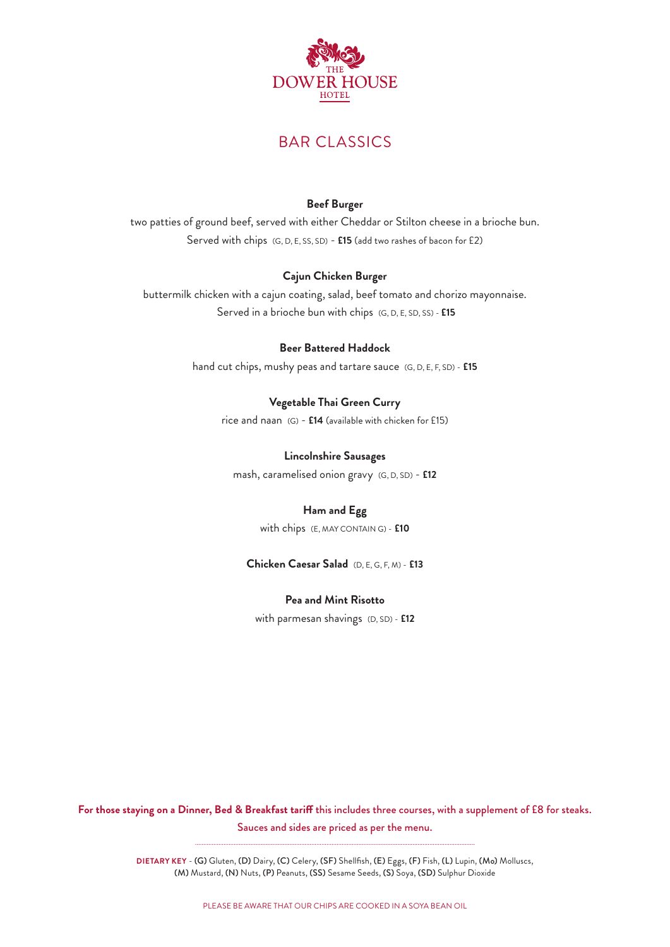

# BAR CLASSICS

## **Beef Burger**

two patties of ground beef, served with either Cheddar or Stilton cheese in a brioche bun. Served with chips (G, D, E, SS, SD) - **£15** (add two rashes of bacon for £2)

## **Cajun Chicken Burger**

buttermilk chicken with a cajun coating, salad, beef tomato and chorizo mayonnaise. Served in a brioche bun with chips (G, D, E, SD, SS) - **£15**

#### **Beer Battered Haddock**

hand cut chips, mushy peas and tartare sauce (G, D, E, F, SD) - **£15**

## **Vegetable Thai Green Curry**

rice and naan (G) - **£14** (available with chicken for £15)

#### **Lincolnshire Sausages**

mash, caramelised onion gravy (G, D, SD) - **£12**

## **Ham and Egg**

with chips (E, MAY CONTAIN G) - **£10**

#### **Chicken Caesar Salad** (D, E, G, F, M) - **£13**

#### **Pea and Mint Risotto**

with parmesan shavings (D, SD) - **£12**

**For those staying on a Dinner, Bed & Breakfast tariff** this includes three courses, with a supplement of £8 for steaks. Sauces and sides are priced as per the menu.

> **DIETARY KEY** - (G) Gluten, (D) Dairy, (C) Celery, (SF) Shellfish, (E) Eggs, (F) Fish, (L) Lupin, (Mo) Molluscs, (M) Mustard, (N) Nuts, (P) Peanuts, (SS) Sesame Seeds, (S) Soya, (SD) Sulphur Dioxide

> > PLEASE BE AWARE THAT OUR CHIPS ARE COOKED IN A SOYA BEAN OIL